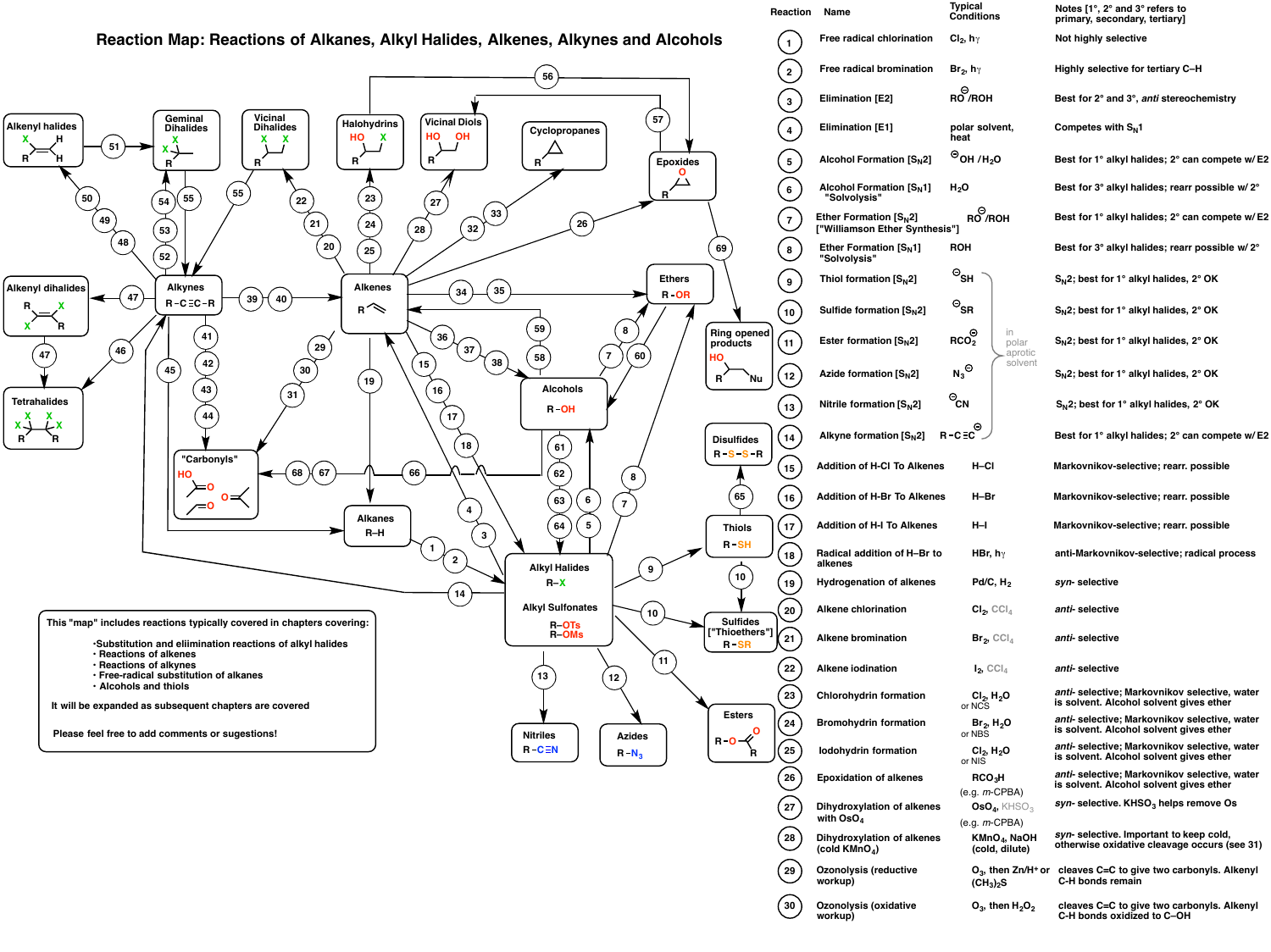## **Reaction Map: Reactions of Alkanes, Alkyl Halides, Alkenes, Alkynes and Alcohols**





| <b>Reaction</b> | <b>Name</b>                                               | <b>Typical</b><br><b>Conditions</b>                 | Notes [1°, 2° and 3° refers to<br>primary, secondary, tertiary]                          |
|-----------------|-----------------------------------------------------------|-----------------------------------------------------|------------------------------------------------------------------------------------------|
|                 | Free radical chlorination                                 | Cl <sub>2</sub> , $h\gamma$                         | Not highly selective                                                                     |
|                 | <b>Free radical bromination</b>                           | $\mathsf{Br}_2$ , hy                                | Highly selective for tertiary C-H                                                        |
| 3               | <b>Elimination [E2]</b>                                   | $\bigcirc$ RO /ROH                                  | Best for 2° and 3°, anti stereochemistry                                                 |
|                 | <b>Elimination [E1]</b>                                   | polar solvent,<br>heat                              | Competes with $S_N1$                                                                     |
| 5               | <b>Alcohol Formation [S<sub>N</sub>2]</b>                 | $\Theta$ OH /H <sub>2</sub> O                       | Best for 1° alkyl halides; 2° can compete w/E2                                           |
| 6               | <b>Alcohol Formation [S<sub>N</sub>1]</b><br>"Solvolysis" | H <sub>2</sub> O                                    | Best for 3° alkyl halides; rearr possible w/2°                                           |
|                 | Ether Formation $[SN2]$<br>["Williamson Ether Synthesis"] | Θ<br><b>RO /ROH</b>                                 | Best for 1° alkyl halides; 2° can compete w/E2                                           |
| 8               | Ether Formation $[S_N1]$<br>"Solvolysis"                  | <b>ROH</b>                                          | Best for 3° alkyl halides; rearr possible w/2°                                           |
| 9               | Thiol formation $[SN2]$                                   | $\circ_{\mathsf{SH}}$                               | S <sub>N</sub> 2; best for 1° alkyl halides, 2° OK                                       |
| 10              | Sulfide formation $[SN2]$                                 | $\mathbin{\odot_{\text{SR}}}$                       | $S_N$ 2; best for 1° alkyl halides, 2° OK                                                |
| 11              | Ester formation $[SN2]$                                   | in.<br>RCO <sub>2</sub><br>polar<br>aprotic         | $S_N$ 2; best for 1° alkyl halides, 2° OK                                                |
| 12              | Azide formation $[SN2]$                                   | solvent<br>$N_3^{\ominus}$                          | $S_N$ 2; best for 1° alkyl halides, 2° OK                                                |
| 13              | Nitrile formation $[SN2]$                                 | $\Theta$ CN                                         | $S_N$ 2; best for 1° alkyl halides, 2° OK                                                |
| 14              | Alkyne formation $[SN2]$                                  | $R - C \equiv C$                                    | Best for 1° alkyl halides; 2° can compete w/E2                                           |
| 15              | <b>Addition of H-CI To Alkenes</b>                        | $H$ –Cl                                             | Markovnikov-selective; rearr. possible                                                   |
| 16              | <b>Addition of H-Br To Alkenes</b>                        | $H-Br$                                              | Markovnikov-selective; rearr. possible                                                   |
| 17              | <b>Addition of H-I To Alkenes</b>                         | $H-I$                                               | Markovnikov-selective; rearr. possible                                                   |
| 18              | Radical addition of H-Br to<br>alkenes                    | HBr, h $\gamma$                                     | anti-Markovnikov-selective; radical process                                              |
| 19              | <b>Hydrogenation of alkenes</b>                           | Pd/C, $H_2$                                         | syn-selective                                                                            |
| 20              | <b>Alkene chlorination</b>                                | $Cl_2$ , $ Cl_4 $                                   | anti-selective                                                                           |
| 21              | <b>Alkene bromination</b>                                 | $\mathsf{Br}_2$ , CCl <sub>4</sub>                  | anti-selective                                                                           |
| 22              | <b>Alkene iodination</b>                                  | $I_2$ , CCI <sub>4</sub>                            | anti-selective                                                                           |
| 23              | <b>Chlorohydrin formation</b>                             | $Cl_2, H_2O$<br>or NCS                              | anti- selective; Markovnikov selective, water<br>is solvent. Alcohol solvent gives ether |
| 24              | <b>Bromohydrin formation</b>                              | $Br_2, H_2O$<br>or NBS                              | anti- selective; Markovnikov selective, water<br>is solvent. Alcohol solvent gives ether |
| 25              | lodohydrin formation                                      | $Cl_2, H_2O$<br>or NIS                              | anti- selective; Markovnikov selective, water<br>is solvent. Alcohol solvent gives ether |
| 26              | <b>Epoxidation of alkenes</b>                             | RCO <sub>3</sub> H<br>$(e.g. m-CPBA)$               | anti- selective; Markovnikov selective, water<br>is solvent. Alcohol solvent gives ether |
| 27              | <b>Dihydroxylation of alkenes</b><br>with $\text{OsO}_4$  | OsO $_4$ , KHSO $_3$                                | syn-selective. $KHSO3$ helps remove Os                                                   |
| 28              | <b>Dihydroxylation of alkenes</b><br>(cold $KMnO4$ )      | $(e.g. m-CPBA)$<br>$KMnO4$ , NaOH<br>(cold, dilute) | syn-selective. Important to keep cold,<br>otherwise oxidative cleavage occurs (see 31)   |
| 29              | <b>Ozonolysis (reductive</b><br>workup)                   | $O_3$ , then Zn/H <sup>+</sup> or<br>$(CH_3)_2S$    | cleaves C=C to give two carbonyls. Alkenyl<br>C-H bonds remain                           |
| 30              | <b>Ozonolysis (oxidative</b><br>workup)                   | $O_3$ , then $H_2O_2$                               | cleaves C=C to give two carbonyls. Alkenyl<br>C-H bonds oxidized to C-OH                 |